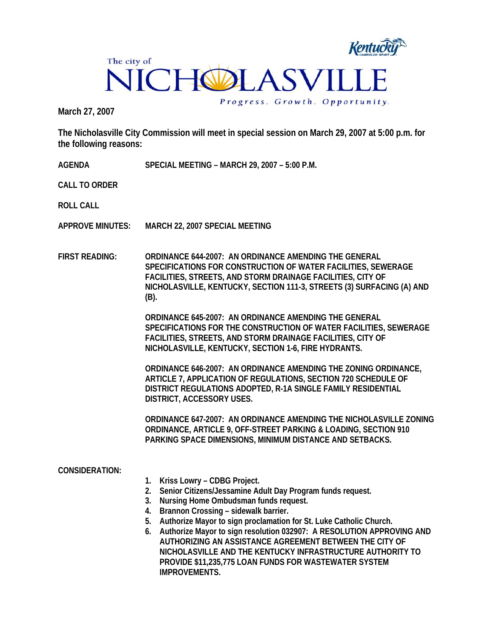

**March 27, 2007** 

**The Nicholasville City Commission will meet in special session on March 29, 2007 at 5:00 p.m. for the following reasons:** 

**AGENDA SPECIAL MEETING – MARCH 29, 2007 – 5:00 P.M.** 

**CALL TO ORDER** 

**ROLL CALL** 

- **APPROVE MINUTES: MARCH 22, 2007 SPECIAL MEETING**
- **FIRST READING: ORDINANCE 644-2007: AN ORDINANCE AMENDING THE GENERAL SPECIFICATIONS FOR CONSTRUCTION OF WATER FACILITIES, SEWERAGE FACILITIES, STREETS, AND STORM DRAINAGE FACILITIES, CITY OF NICHOLASVILLE, KENTUCKY, SECTION 111-3, STREETS (3) SURFACING (A) AND (B).**

**ORDINANCE 645-2007: AN ORDINANCE AMENDING THE GENERAL SPECIFICATIONS FOR THE CONSTRUCTION OF WATER FACILITIES, SEWERAGE FACILITIES, STREETS, AND STORM DRAINAGE FACILITIES, CITY OF NICHOLASVILLE, KENTUCKY, SECTION 1-6, FIRE HYDRANTS.** 

**ORDINANCE 646-2007: AN ORDINANCE AMENDING THE ZONING ORDINANCE, ARTICLE 7, APPLICATION OF REGULATIONS, SECTION 720 SCHEDULE OF DISTRICT REGULATIONS ADOPTED, R-1A SINGLE FAMILY RESIDENTIAL DISTRICT, ACCESSORY USES.** 

**ORDINANCE 647-2007: AN ORDINANCE AMENDING THE NICHOLASVILLE ZONING ORDINANCE, ARTICLE 9, OFF-STREET PARKING & LOADING, SECTION 910 PARKING SPACE DIMENSIONS, MINIMUM DISTANCE AND SETBACKS.** 

## **CONSIDERATION:**

- **1. Kriss Lowry CDBG Project.**
- **2. Senior Citizens/Jessamine Adult Day Program funds request.**
- **3. Nursing Home Ombudsman funds request.**
- **4. Brannon Crossing sidewalk barrier.**
- **5. Authorize Mayor to sign proclamation for St. Luke Catholic Church.**
- **6. Authorize Mayor to sign resolution 032907: A RESOLUTION APPROVING AND AUTHORIZING AN ASSISTANCE AGREEMENT BETWEEN THE CITY OF NICHOLASVILLE AND THE KENTUCKY INFRASTRUCTURE AUTHORITY TO PROVIDE \$11,235,775 LOAN FUNDS FOR WASTEWATER SYSTEM IMPROVEMENTS.**